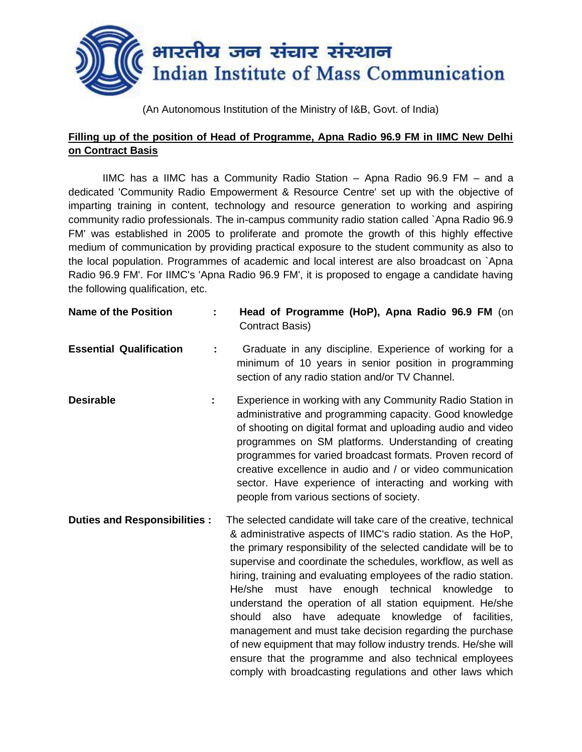

(An Autonomous Institution of the Ministry of I&B, Govt. of India)

## **Filling up of the position of Head of Programme, Apna Radio 96.9 FM in IIMC New Delhi on Contract Basis**

IIMC has a IIMC has a Community Radio Station – Apna Radio 96.9 FM – and a dedicated 'Community Radio Empowerment & Resource Centre' set up with the objective of imparting training in content, technology and resource generation to working and aspiring community radio professionals. The in-campus community radio station called `Apna Radio 96.9 FM' was established in 2005 to proliferate and promote the growth of this highly effective medium of communication by providing practical exposure to the student community as also to the local population. Programmes of academic and local interest are also broadcast on `Apna Radio 96.9 FM'. For IIMC's 'Apna Radio 96.9 FM', it is proposed to engage a candidate having the following qualification, etc.

| <b>Name of the Position</b>         |   | Head of Programme (HoP), Apna Radio 96.9 FM (on<br>Contract Basis)                                                                                                                                                                                                                                                                                                                                                                                                                                                                                                                                                                                                                                                                                                        |
|-------------------------------------|---|---------------------------------------------------------------------------------------------------------------------------------------------------------------------------------------------------------------------------------------------------------------------------------------------------------------------------------------------------------------------------------------------------------------------------------------------------------------------------------------------------------------------------------------------------------------------------------------------------------------------------------------------------------------------------------------------------------------------------------------------------------------------------|
| <b>Essential Qualification</b>      |   | Graduate in any discipline. Experience of working for a<br>minimum of 10 years in senior position in programming<br>section of any radio station and/or TV Channel.                                                                                                                                                                                                                                                                                                                                                                                                                                                                                                                                                                                                       |
| <b>Desirable</b>                    | ÷ | Experience in working with any Community Radio Station in<br>administrative and programming capacity. Good knowledge<br>of shooting on digital format and uploading audio and video<br>programmes on SM platforms. Understanding of creating<br>programmes for varied broadcast formats. Proven record of<br>creative excellence in audio and / or video communication<br>sector. Have experience of interacting and working with<br>people from various sections of society.                                                                                                                                                                                                                                                                                             |
| <b>Duties and Responsibilities:</b> |   | The selected candidate will take care of the creative, technical<br>& administrative aspects of IIMC's radio station. As the HoP,<br>the primary responsibility of the selected candidate will be to<br>supervise and coordinate the schedules, workflow, as well as<br>hiring, training and evaluating employees of the radio station.<br>He/she<br>must have enough technical knowledge to<br>understand the operation of all station equipment. He/she<br>have adequate knowledge of facilities,<br>also<br>should<br>management and must take decision regarding the purchase<br>of new equipment that may follow industry trends. He/she will<br>ensure that the programme and also technical employees<br>comply with broadcasting regulations and other laws which |